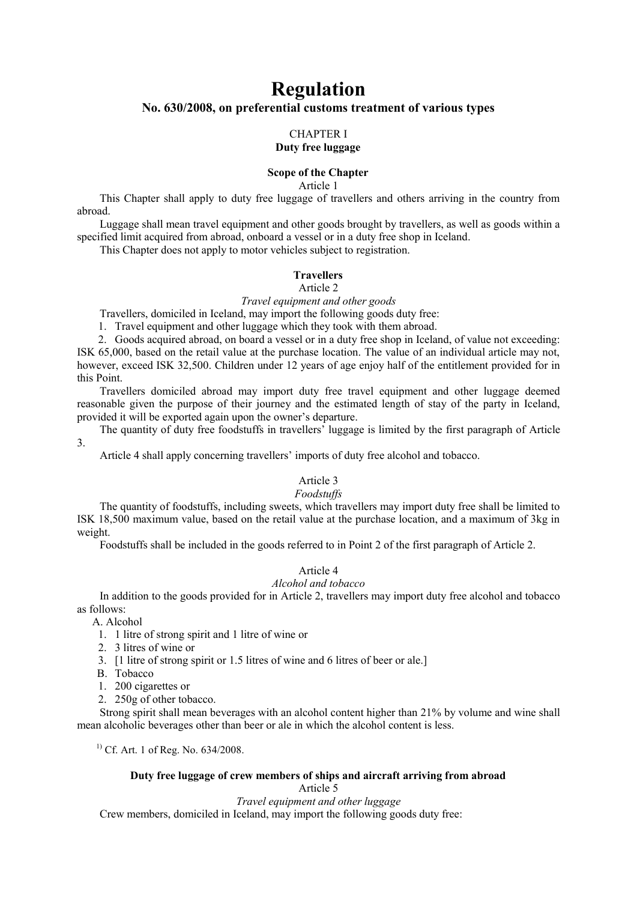# **Regulation No. 630/2008, on preferential customs treatment of various types**

#### CHAPTER I **Duty free luggage**

# **Scope of the Chapter**

Article 1

This Chapter shall apply to duty free luggage of travellers and others arriving in the country from abroad.

Luggage shall mean travel equipment and other goods brought by travellers, as well as goods within a specified limit acquired from abroad, onboard a vessel or in a duty free shop in Iceland.

This Chapter does not apply to motor vehicles subject to registration.

## **Travellers**

#### Article 2

*Travel equipment and other goods*

Travellers, domiciled in Iceland, may import the following goods duty free:

1. Travel equipment and other luggage which they took with them abroad.

2. Goods acquired abroad, on board a vessel or in a duty free shop in Iceland, of value not exceeding: ISK 65,000, based on the retail value at the purchase location. The value of an individual article may not, however, exceed ISK 32,500. Children under 12 years of age enjoy half of the entitlement provided for in this Point.

Travellers domiciled abroad may import duty free travel equipment and other luggage deemed reasonable given the purpose of their journey and the estimated length of stay of the party in Iceland, provided it will be exported again upon the owner's departure.

The quantity of duty free foodstuffs in travellers' luggage is limited by the first paragraph of Article 3.

Article 4 shall apply concerning travellers' imports of duty free alcohol and tobacco.

# Article 3

## *Foodstuffs*

The quantity of foodstuffs, including sweets, which travellers may import duty free shall be limited to ISK 18,500 maximum value, based on the retail value at the purchase location, and a maximum of 3kg in weight.

Foodstuffs shall be included in the goods referred to in Point 2 of the first paragraph of Article 2.

# Article 4

# *Alcohol and tobacco*

In addition to the goods provided for in Article 2, travellers may import duty free alcohol and tobacco as follows:

A. Alcohol

- 1. 1 litre of strong spirit and 1 litre of wine or
- 2. 3 litres of wine or
- 3. [1 litre of strong spirit or 1.5 litres of wine and 6 litres of beer or ale.]
- B. Tobacco
- 1. 200 cigarettes or
- 2. 250g of other tobacco.

Strong spirit shall mean beverages with an alcohol content higher than 21% by volume and wine shall mean alcoholic beverages other than beer or ale in which the alcohol content is less.

 $^{1)}$  Cf. Art. 1 of Reg. No. 634/2008.

# **Duty free luggage of crew members of ships and aircraft arriving from abroad**

Article 5 *Travel equipment and other luggage* Crew members, domiciled in Iceland, may import the following goods duty free: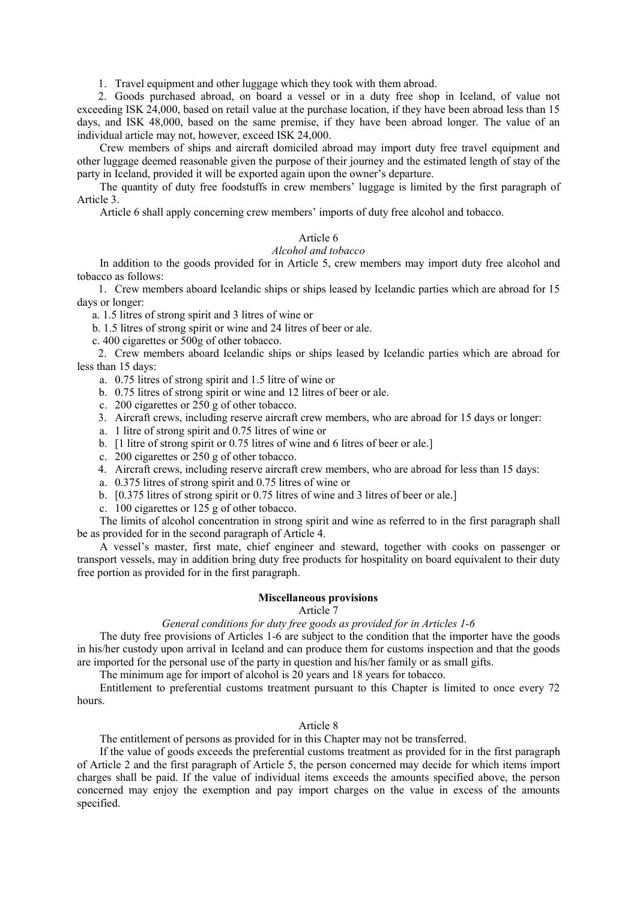1. Travel equipment and other luggage which they took with them abroad.

2. Goods purchased abroad, on board a vessel or in a duty free shop in Iceland, of value not exceeding ISK 24,000, based on retail value at the purchase location, if they have been abroad less than 15 days, and ISK 48,000, based on the same premise, if they have been abroad longer. The value of an individual article may not, however, exceed ISK 24,000.

Crew members of ships and aircraft domiciled abroad may import duty free travel equipment and other luggage deemed reasonable given the purpose of their journey and the estimated length of stay of the party in Iceland, provided it will be exported again upon the owner's departure.

The quantity of duty free foodstuffs in crew members' luggage is limited by the first paragraph of Article 3.

Article 6 shall apply concerning crew members' imports of duty free alcohol and tobacco.

## Article 6

## *Alcohol and tobacco*

In addition to the goods provided for in Article 5, crew members may import duty free alcohol and tobacco as follows:

1. Crew members aboard Icelandic ships or ships leased by Icelandic parties which are abroad for 15 days or longer:

a. 1.5 litres of strong spirit and 3 litres of wine or

b. 1.5 litres of strong spirit or wine and 24 litres of beer or ale.

c. 400 cigarettes or 500g of other tobacco.

2. Crew members aboard Icelandic ships or ships leased by Icelandic parties which are abroad for less than 15 days:

a. 0.75 litres of strong spirit and 1.5 litre of wine or

- b. 0.75 litres of strong spirit or wine and 12 litres of beer or ale.
- c. 200 cigarettes or 250 g of other tobacco.
- 3. Aircraft crews, including reserve aircraft crew members, who are abroad for 15 days or longer:
- a. 1 litre of strong spirit and 0.75 litres of wine or
- b. [1 litre of strong spirit or 0.75 litres of wine and 6 litres of beer or ale.]
- c. 200 cigarettes or 250 g of other tobacco.
- 4. Aircraft crews, including reserve aircraft crew members, who are abroad for less than 15 days:
- a. 0.375 litres of strong spirit and 0.75 litres of wine or
- b. [0.375 litres of strong spirit or 0.75 litres of wine and 3 litres of beer or ale.]
- c. 100 cigarettes or 125 g of other tobacco.

The limits of alcohol concentration in strong spirit and wine as referred to in the first paragraph shall be as provided for in the second paragraph of Article 4.

A vessel's master, first mate, chief engineer and steward, together with cooks on passenger or transport vessels, may in addition bring duty free products for hospitality on board equivalent to their duty free portion as provided for in the first paragraph.

#### **Miscellaneous provisions**

# Article 7

## *General conditions for duty free goods as provided for in Articles 1-6*

The duty free provisions of Articles 1-6 are subject to the condition that the importer have the goods in his/her custody upon arrival in Iceland and can produce them for customs inspection and that the goods are imported for the personal use of the party in question and his/her family or as small gifts.

The minimum age for import of alcohol is 20 years and 18 years for tobacco.

Entitlement to preferential customs treatment pursuant to this Chapter is limited to once every 72 hours.

#### Article 8

The entitlement of persons as provided for in this Chapter may not be transferred.

If the value of goods exceeds the preferential customs treatment as provided for in the first paragraph of Article 2 and the first paragraph of Article 5, the person concerned may decide for which items import charges shall be paid. If the value of individual items exceeds the amounts specified above, the person concerned may enjoy the exemption and pay import charges on the value in excess of the amounts specified.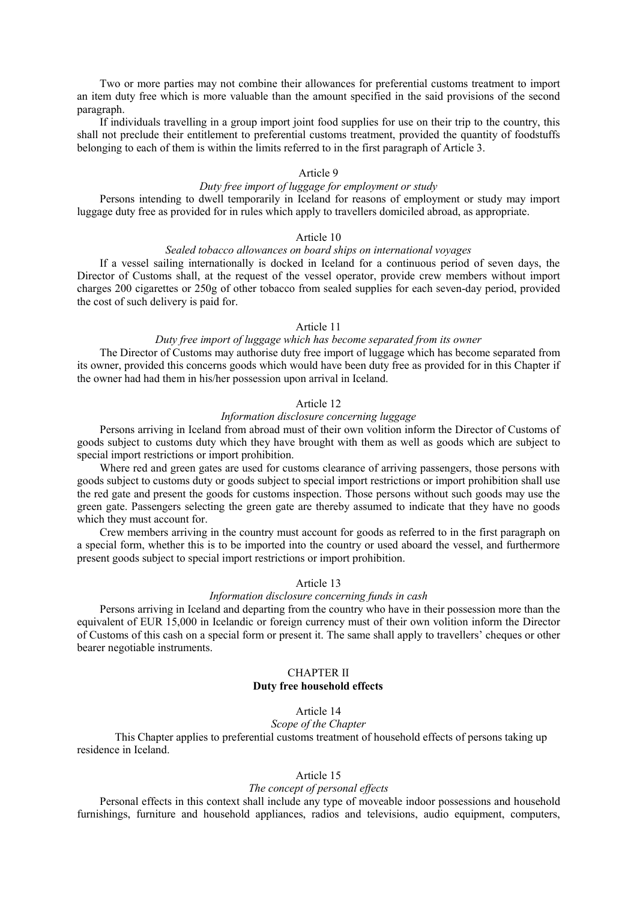Two or more parties may not combine their allowances for preferential customs treatment to import an item duty free which is more valuable than the amount specified in the said provisions of the second paragraph.

If individuals travelling in a group import joint food supplies for use on their trip to the country, this shall not preclude their entitlement to preferential customs treatment, provided the quantity of foodstuffs belonging to each of them is within the limits referred to in the first paragraph of Article 3.

## Article 9

### *Duty free import of luggage for employment or study*

Persons intending to dwell temporarily in Iceland for reasons of employment or study may import luggage duty free as provided for in rules which apply to travellers domiciled abroad, as appropriate.

#### Article 10

# *Sealed tobacco allowances on board ships on international voyages*

If a vessel sailing internationally is docked in Iceland for a continuous period of seven days, the Director of Customs shall, at the request of the vessel operator, provide crew members without import charges 200 cigarettes or 250g of other tobacco from sealed supplies for each seven-day period, provided the cost of such delivery is paid for.

#### Article 11

## *Duty free import of luggage which has become separated from its owner*

The Director of Customs may authorise duty free import of luggage which has become separated from its owner, provided this concerns goods which would have been duty free as provided for in this Chapter if the owner had had them in his/her possession upon arrival in Iceland.

#### Article 12

# *Information disclosure concerning luggage*

Persons arriving in Iceland from abroad must of their own volition inform the Director of Customs of goods subject to customs duty which they have brought with them as well as goods which are subject to special import restrictions or import prohibition.

Where red and green gates are used for customs clearance of arriving passengers, those persons with goods subject to customs duty or goods subject to special import restrictions or import prohibition shall use the red gate and present the goods for customs inspection. Those persons without such goods may use the green gate. Passengers selecting the green gate are thereby assumed to indicate that they have no goods which they must account for.

Crew members arriving in the country must account for goods as referred to in the first paragraph on a special form, whether this is to be imported into the country or used aboard the vessel, and furthermore present goods subject to special import restrictions or import prohibition.

# Article 13

#### *Information disclosure concerning funds in cash*

Persons arriving in Iceland and departing from the country who have in their possession more than the equivalent of EUR 15,000 in Icelandic or foreign currency must of their own volition inform the Director of Customs of this cash on a special form or present it. The same shall apply to travellers' cheques or other bearer negotiable instruments.

# CHAPTER II **Duty free household effects**

# Article 14

## *Scope of the Chapter*

This Chapter applies to preferential customs treatment of household effects of persons taking up residence in Iceland.

## Article 15

#### *The concept of personal effects*

Personal effects in this context shall include any type of moveable indoor possessions and household furnishings, furniture and household appliances, radios and televisions, audio equipment, computers,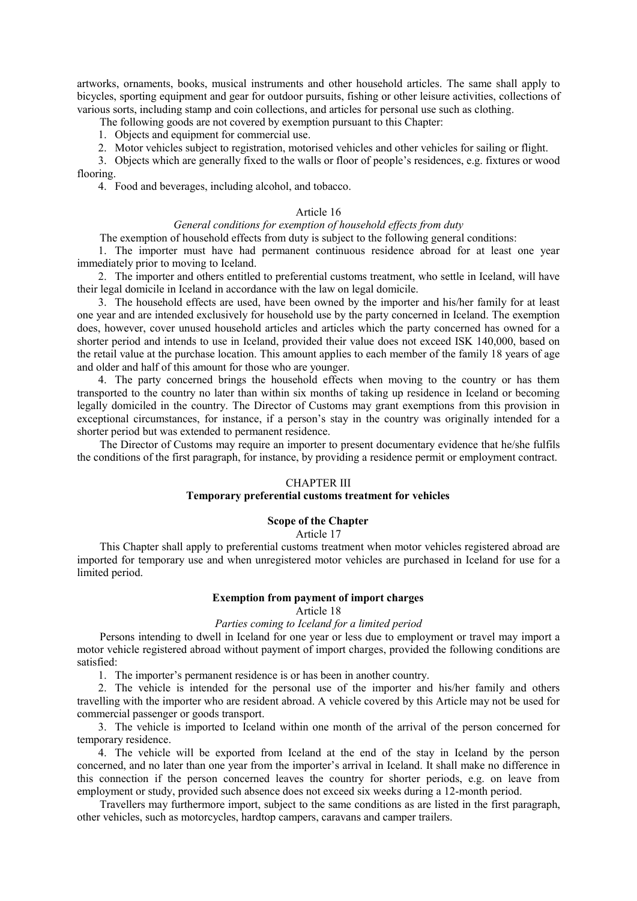artworks, ornaments, books, musical instruments and other household articles. The same shall apply to bicycles, sporting equipment and gear for outdoor pursuits, fishing or other leisure activities, collections of various sorts, including stamp and coin collections, and articles for personal use such as clothing.

The following goods are not covered by exemption pursuant to this Chapter:

1. Objects and equipment for commercial use.

2. Motor vehicles subject to registration, motorised vehicles and other vehicles for sailing or flight.

3. Objects which are generally fixed to the walls or floor of people's residences, e.g. fixtures or wood flooring.

4. Food and beverages, including alcohol, and tobacco.

#### Article 16

# *General conditions for exemption of household effects from duty*

The exemption of household effects from duty is subject to the following general conditions:

1. The importer must have had permanent continuous residence abroad for at least one year immediately prior to moving to Iceland.

2. The importer and others entitled to preferential customs treatment, who settle in Iceland, will have their legal domicile in Iceland in accordance with the law on legal domicile.

3. The household effects are used, have been owned by the importer and his/her family for at least one year and are intended exclusively for household use by the party concerned in Iceland. The exemption does, however, cover unused household articles and articles which the party concerned has owned for a shorter period and intends to use in Iceland, provided their value does not exceed ISK 140,000, based on the retail value at the purchase location. This amount applies to each member of the family 18 years of age and older and half of this amount for those who are younger.

4. The party concerned brings the household effects when moving to the country or has them transported to the country no later than within six months of taking up residence in Iceland or becoming legally domiciled in the country. The Director of Customs may grant exemptions from this provision in exceptional circumstances, for instance, if a person's stay in the country was originally intended for a shorter period but was extended to permanent residence.

The Director of Customs may require an importer to present documentary evidence that he/she fulfils the conditions of the first paragraph, for instance, by providing a residence permit or employment contract.

#### CHAPTER III

## **Temporary preferential customs treatment for vehicles**

## **Scope of the Chapter**

Article 17

This Chapter shall apply to preferential customs treatment when motor vehicles registered abroad are imported for temporary use and when unregistered motor vehicles are purchased in Iceland for use for a limited period.

#### **Exemption from payment of import charges**

# Article 18

## *Parties coming to Iceland for a limited period*

Persons intending to dwell in Iceland for one year or less due to employment or travel may import a motor vehicle registered abroad without payment of import charges, provided the following conditions are satisfied:

1. The importer's permanent residence is or has been in another country.

2. The vehicle is intended for the personal use of the importer and his/her family and others travelling with the importer who are resident abroad. A vehicle covered by this Article may not be used for commercial passenger or goods transport.

3. The vehicle is imported to Iceland within one month of the arrival of the person concerned for temporary residence.

4. The vehicle will be exported from Iceland at the end of the stay in Iceland by the person concerned, and no later than one year from the importer's arrival in Iceland. It shall make no difference in this connection if the person concerned leaves the country for shorter periods, e.g. on leave from employment or study, provided such absence does not exceed six weeks during a 12-month period.

Travellers may furthermore import, subject to the same conditions as are listed in the first paragraph, other vehicles, such as motorcycles, hardtop campers, caravans and camper trailers.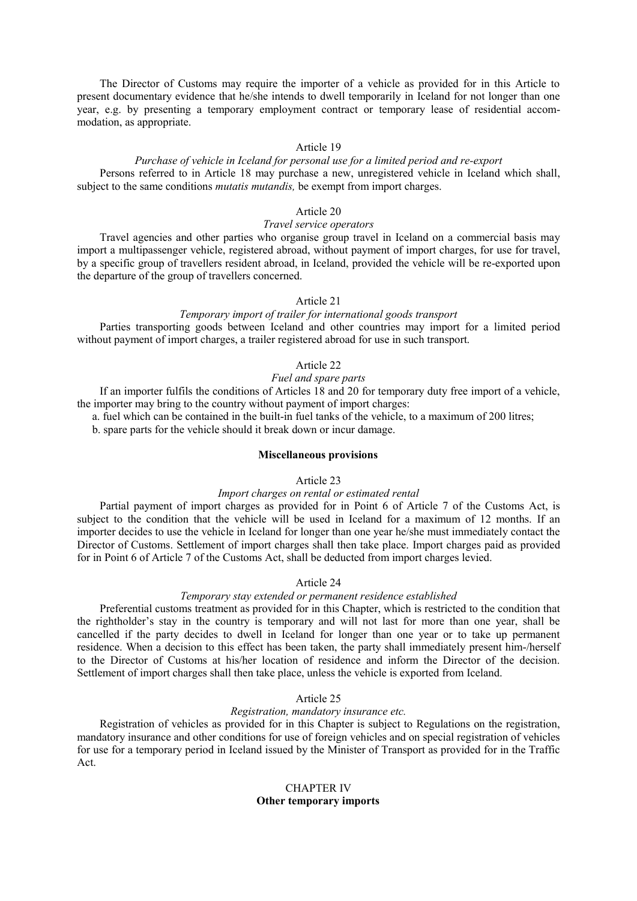The Director of Customs may require the importer of a vehicle as provided for in this Article to present documentary evidence that he/she intends to dwell temporarily in Iceland for not longer than one year, e.g. by presenting a temporary employment contract or temporary lease of residential accommodation, as appropriate.

#### Article 19

## *Purchase of vehicle in Iceland for personal use for a limited period and re-export* Persons referred to in Article 18 may purchase a new, unregistered vehicle in Iceland which shall, subject to the same conditions *mutatis mutandis,* be exempt from import charges.

# Article 20

# *Travel service operators*

Travel agencies and other parties who organise group travel in Iceland on a commercial basis may import a multipassenger vehicle, registered abroad, without payment of import charges, for use for travel, by a specific group of travellers resident abroad, in Iceland, provided the vehicle will be re-exported upon the departure of the group of travellers concerned.

# Article 21

# *Temporary import of trailer for international goods transport*

Parties transporting goods between Iceland and other countries may import for a limited period without payment of import charges, a trailer registered abroad for use in such transport.

# Article 22

# *Fuel and spare parts*

If an importer fulfils the conditions of Articles 18 and 20 for temporary duty free import of a vehicle, the importer may bring to the country without payment of import charges:

a. fuel which can be contained in the built-in fuel tanks of the vehicle, to a maximum of 200 litres;

b. spare parts for the vehicle should it break down or incur damage.

#### **Miscellaneous provisions**

#### Article 23

#### *Import charges on rental or estimated rental*

Partial payment of import charges as provided for in Point 6 of Article 7 of the Customs Act, is subject to the condition that the vehicle will be used in Iceland for a maximum of 12 months. If an importer decides to use the vehicle in Iceland for longer than one year he/she must immediately contact the Director of Customs. Settlement of import charges shall then take place. Import charges paid as provided for in Point 6 of Article 7 of the Customs Act, shall be deducted from import charges levied.

## Article 24

# *Temporary stay extended or permanent residence established*

Preferential customs treatment as provided for in this Chapter, which is restricted to the condition that the rightholder's stay in the country is temporary and will not last for more than one year, shall be cancelled if the party decides to dwell in Iceland for longer than one year or to take up permanent residence. When a decision to this effect has been taken, the party shall immediately present him-/herself to the Director of Customs at his/her location of residence and inform the Director of the decision. Settlement of import charges shall then take place, unless the vehicle is exported from Iceland.

# Article 25

## *Registration, mandatory insurance etc.*

Registration of vehicles as provided for in this Chapter is subject to Regulations on the registration, mandatory insurance and other conditions for use of foreign vehicles and on special registration of vehicles for use for a temporary period in Iceland issued by the Minister of Transport as provided for in the Traffic Act.

# CHAPTER IV **Other temporary imports**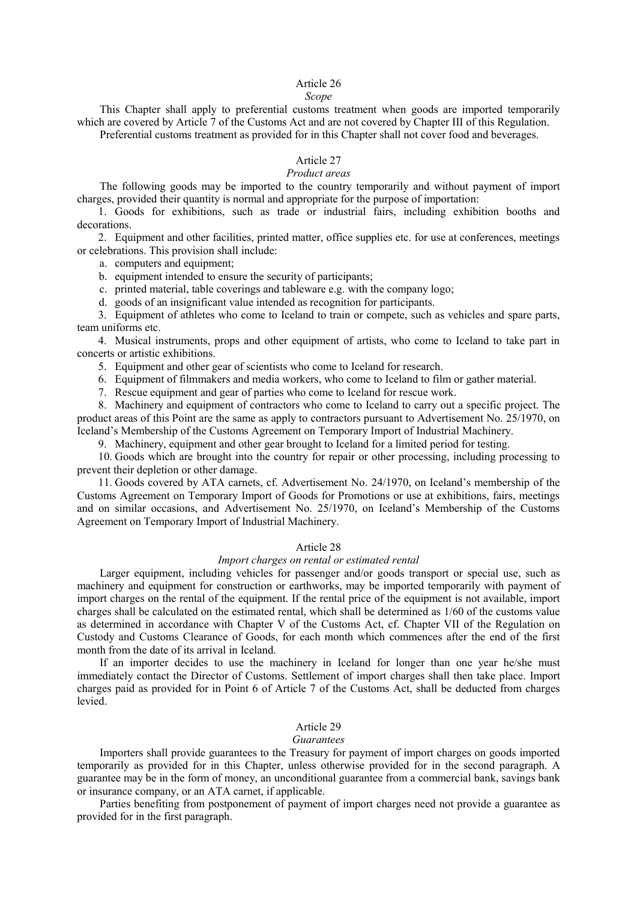# Article 26

#### *Scope*

This Chapter shall apply to preferential customs treatment when goods are imported temporarily which are covered by Article 7 of the Customs Act and are not covered by Chapter III of this Regulation. Preferential customs treatment as provided for in this Chapter shall not cover food and beverages.

#### Article 27

## *Product areas*

The following goods may be imported to the country temporarily and without payment of import charges, provided their quantity is normal and appropriate for the purpose of importation:

1. Goods for exhibitions, such as trade or industrial fairs, including exhibition booths and decorations.

2. Equipment and other facilities, printed matter, office supplies etc. for use at conferences, meetings or celebrations. This provision shall include:

a. computers and equipment;

b. equipment intended to ensure the security of participants;

c. printed material, table coverings and tableware e.g. with the company logo;

d. goods of an insignificant value intended as recognition for participants.

3. Equipment of athletes who come to Iceland to train or compete, such as vehicles and spare parts, team uniforms etc.

4. Musical instruments, props and other equipment of artists, who come to Iceland to take part in concerts or artistic exhibitions.

5. Equipment and other gear of scientists who come to Iceland for research.

6. Equipment of filmmakers and media workers, who come to Iceland to film or gather material.

7. Rescue equipment and gear of parties who come to Iceland for rescue work.

8. Machinery and equipment of contractors who come to Iceland to carry out a specific project. The product areas of this Point are the same as apply to contractors pursuant to Advertisement No. 25/1970, on Iceland's Membership of the Customs Agreement on Temporary Import of Industrial Machinery.

9. Machinery, equipment and other gear brought to Iceland for a limited period for testing.

10. Goods which are brought into the country for repair or other processing, including processing to prevent their depletion or other damage.

11. Goods covered by ATA carnets, cf. Advertisement No. 24/1970, on Iceland's membership of the Customs Agreement on Temporary Import of Goods for Promotions or use at exhibitions, fairs, meetings and on similar occasions, and Advertisement No. 25/1970, on Iceland's Membership of the Customs Agreement on Temporary Import of Industrial Machinery.

#### Article 28

#### *Import charges on rental or estimated rental*

Larger equipment, including vehicles for passenger and/or goods transport or special use, such as machinery and equipment for construction or earthworks, may be imported temporarily with payment of import charges on the rental of the equipment. If the rental price of the equipment is not available, import charges shall be calculated on the estimated rental, which shall be determined as 1/60 of the customs value as determined in accordance with Chapter V of the Customs Act, cf. Chapter VII of the Regulation on Custody and Customs Clearance of Goods, for each month which commences after the end of the first month from the date of its arrival in Iceland.

If an importer decides to use the machinery in Iceland for longer than one year he/she must immediately contact the Director of Customs. Settlement of import charges shall then take place. Import charges paid as provided for in Point 6 of Article 7 of the Customs Act, shall be deducted from charges levied.

#### Article 29

#### *Guarantees*

Importers shall provide guarantees to the Treasury for payment of import charges on goods imported temporarily as provided for in this Chapter, unless otherwise provided for in the second paragraph. A guarantee may be in the form of money, an unconditional guarantee from a commercial bank, savings bank or insurance company, or an ATA carnet, if applicable.

Parties benefiting from postponement of payment of import charges need not provide a guarantee as provided for in the first paragraph.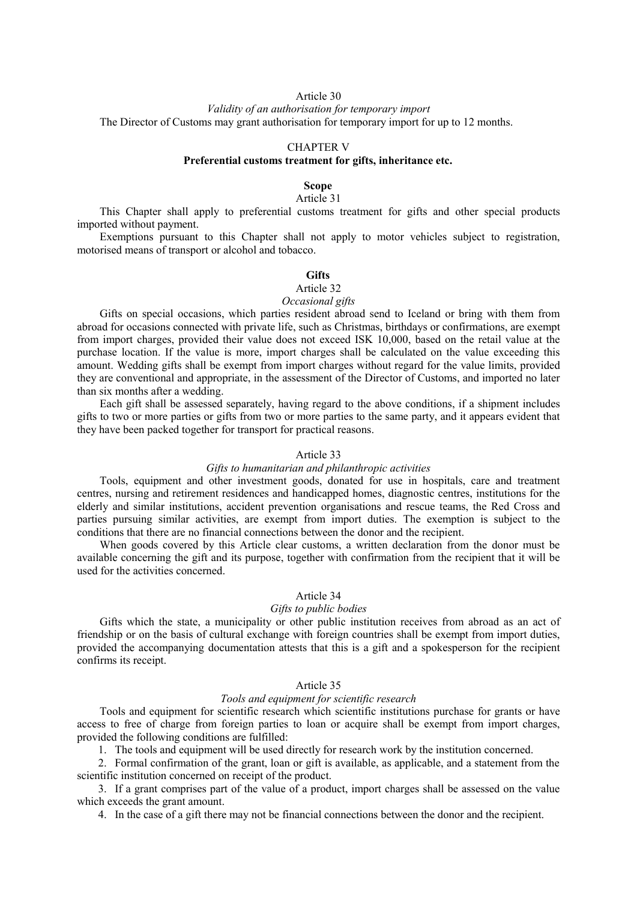# Article 30

*Validity of an authorisation for temporary import* The Director of Customs may grant authorisation for temporary import for up to 12 months.

#### CHAPTER V

# **Preferential customs treatment for gifts, inheritance etc.**

#### **Scope**

#### Article 31

This Chapter shall apply to preferential customs treatment for gifts and other special products imported without payment.

Exemptions pursuant to this Chapter shall not apply to motor vehicles subject to registration, motorised means of transport or alcohol and tobacco.

#### **Gifts**

# Article 32

## *Occasional gifts*

Gifts on special occasions, which parties resident abroad send to Iceland or bring with them from abroad for occasions connected with private life, such as Christmas, birthdays or confirmations, are exempt from import charges, provided their value does not exceed ISK 10,000, based on the retail value at the purchase location. If the value is more, import charges shall be calculated on the value exceeding this amount. Wedding gifts shall be exempt from import charges without regard for the value limits, provided they are conventional and appropriate, in the assessment of the Director of Customs, and imported no later than six months after a wedding.

Each gift shall be assessed separately, having regard to the above conditions, if a shipment includes gifts to two or more parties or gifts from two or more parties to the same party, and it appears evident that they have been packed together for transport for practical reasons.

#### Article 33

#### *Gifts to humanitarian and philanthropic activities*

Tools, equipment and other investment goods, donated for use in hospitals, care and treatment centres, nursing and retirement residences and handicapped homes, diagnostic centres, institutions for the elderly and similar institutions, accident prevention organisations and rescue teams, the Red Cross and parties pursuing similar activities, are exempt from import duties. The exemption is subject to the conditions that there are no financial connections between the donor and the recipient.

When goods covered by this Article clear customs, a written declaration from the donor must be available concerning the gift and its purpose, together with confirmation from the recipient that it will be used for the activities concerned.

#### Article 34

#### *Gifts to public bodies*

Gifts which the state, a municipality or other public institution receives from abroad as an act of friendship or on the basis of cultural exchange with foreign countries shall be exempt from import duties, provided the accompanying documentation attests that this is a gift and a spokesperson for the recipient confirms its receipt.

#### Article 35

# *Tools and equipment for scientific research*

Tools and equipment for scientific research which scientific institutions purchase for grants or have access to free of charge from foreign parties to loan or acquire shall be exempt from import charges, provided the following conditions are fulfilled:

1. The tools and equipment will be used directly for research work by the institution concerned.

2. Formal confirmation of the grant, loan or gift is available, as applicable, and a statement from the scientific institution concerned on receipt of the product.

3. If a grant comprises part of the value of a product, import charges shall be assessed on the value which exceeds the grant amount.

4. In the case of a gift there may not be financial connections between the donor and the recipient.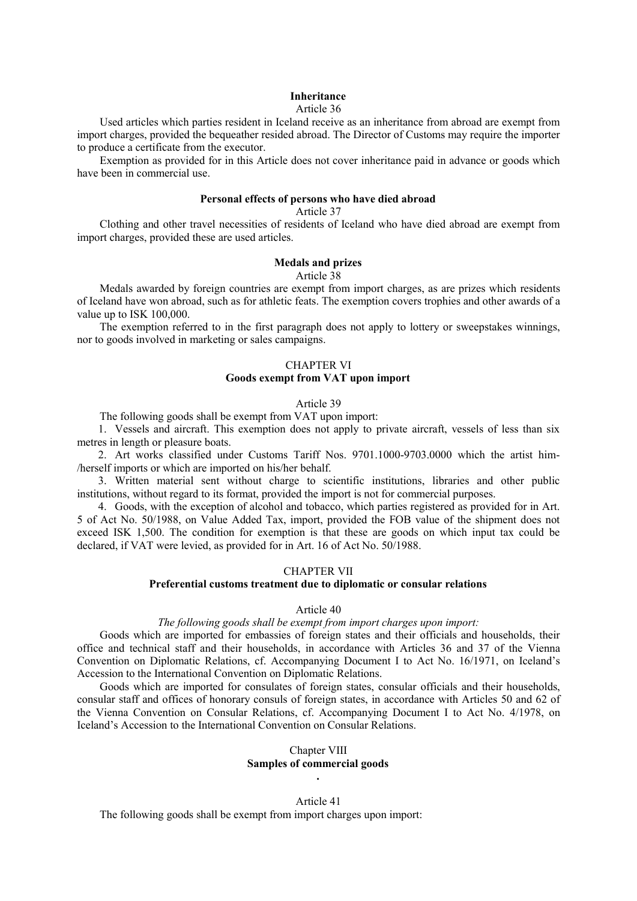#### **Inheritance**

#### Article 36

Used articles which parties resident in Iceland receive as an inheritance from abroad are exempt from import charges, provided the bequeather resided abroad. The Director of Customs may require the importer to produce a certificate from the executor.

Exemption as provided for in this Article does not cover inheritance paid in advance or goods which have been in commercial use.

#### **Personal effects of persons who have died abroad**

## Article 37

Clothing and other travel necessities of residents of Iceland who have died abroad are exempt from import charges, provided these are used articles.

#### **Medals and prizes** Article 38

Medals awarded by foreign countries are exempt from import charges, as are prizes which residents of Iceland have won abroad, such as for athletic feats. The exemption covers trophies and other awards of a value up to ISK 100,000.

The exemption referred to in the first paragraph does not apply to lottery or sweepstakes winnings, nor to goods involved in marketing or sales campaigns.

# CHAPTER VI **Goods exempt from VAT upon import**

#### Article 39

The following goods shall be exempt from VAT upon import:

1. Vessels and aircraft. This exemption does not apply to private aircraft, vessels of less than six metres in length or pleasure boats.

2. Art works classified under Customs Tariff Nos. 9701.1000-9703.0000 which the artist him- /herself imports or which are imported on his/her behalf.

3. Written material sent without charge to scientific institutions, libraries and other public institutions, without regard to its format, provided the import is not for commercial purposes.

4. Goods, with the exception of alcohol and tobacco, which parties registered as provided for in Art. 5 of Act No. 50/1988, on Value Added Tax, import, provided the FOB value of the shipment does not exceed ISK 1,500. The condition for exemption is that these are goods on which input tax could be declared, if VAT were levied, as provided for in Art. 16 of Act No. 50/1988.

#### CHAPTER VII

# **Preferential customs treatment due to diplomatic or consular relations**

Article 40

#### *The following goods shall be exempt from import charges upon import:*

Goods which are imported for embassies of foreign states and their officials and households, their office and technical staff and their households, in accordance with Articles 36 and 37 of the Vienna Convention on Diplomatic Relations, cf. Accompanying Document I to Act No. 16/1971, on Iceland's Accession to the International Convention on Diplomatic Relations.

Goods which are imported for consulates of foreign states, consular officials and their households, consular staff and offices of honorary consuls of foreign states, in accordance with Articles 50 and 62 of the Vienna Convention on Consular Relations, cf. Accompanying Document I to Act No. 4/1978, on Iceland's Accession to the International Convention on Consular Relations.

## Chapter VIII **Samples of commercial goods .**

# Article 41

The following goods shall be exempt from import charges upon import: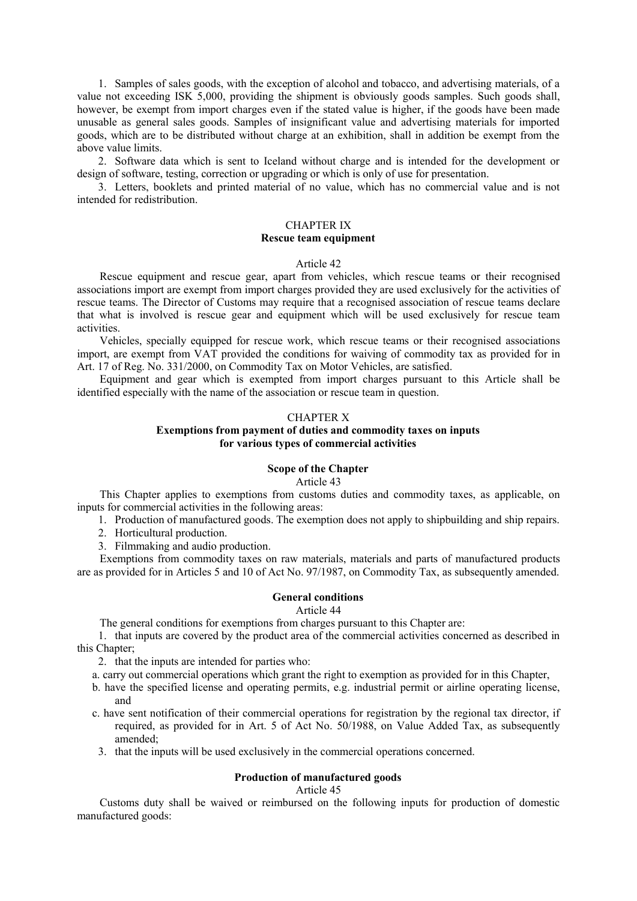1. Samples of sales goods, with the exception of alcohol and tobacco, and advertising materials, of a value not exceeding ISK 5,000, providing the shipment is obviously goods samples. Such goods shall, however, be exempt from import charges even if the stated value is higher, if the goods have been made unusable as general sales goods. Samples of insignificant value and advertising materials for imported goods, which are to be distributed without charge at an exhibition, shall in addition be exempt from the above value limits.

2. Software data which is sent to Iceland without charge and is intended for the development or design of software, testing, correction or upgrading or which is only of use for presentation.

3. Letters, booklets and printed material of no value, which has no commercial value and is not intended for redistribution.

# CHAPTER IX **Rescue team equipment**

#### Article 42

Rescue equipment and rescue gear, apart from vehicles, which rescue teams or their recognised associations import are exempt from import charges provided they are used exclusively for the activities of rescue teams. The Director of Customs may require that a recognised association of rescue teams declare that what is involved is rescue gear and equipment which will be used exclusively for rescue team activities.

Vehicles, specially equipped for rescue work, which rescue teams or their recognised associations import, are exempt from VAT provided the conditions for waiving of commodity tax as provided for in Art. 17 of Reg. No. 331/2000, on Commodity Tax on Motor Vehicles, are satisfied.

Equipment and gear which is exempted from import charges pursuant to this Article shall be identified especially with the name of the association or rescue team in question.

# CHAPTER X

# **Exemptions from payment of duties and commodity taxes on inputs for various types of commercial activities**

# **Scope of the Chapter**

Article 43

This Chapter applies to exemptions from customs duties and commodity taxes, as applicable, on inputs for commercial activities in the following areas:

1. Production of manufactured goods. The exemption does not apply to shipbuilding and ship repairs.

2. Horticultural production.

3. Filmmaking and audio production.

Exemptions from commodity taxes on raw materials, materials and parts of manufactured products are as provided for in Articles 5 and 10 of Act No. 97/1987, on Commodity Tax, as subsequently amended.

#### **General conditions**

#### Article 44

The general conditions for exemptions from charges pursuant to this Chapter are:

1. that inputs are covered by the product area of the commercial activities concerned as described in this Chapter;

2. that the inputs are intended for parties who:

- a. carry out commercial operations which grant the right to exemption as provided for in this Chapter,
- b. have the specified license and operating permits, e.g. industrial permit or airline operating license, and
- c. have sent notification of their commercial operations for registration by the regional tax director, if required, as provided for in Art. 5 of Act No. 50/1988, on Value Added Tax, as subsequently amended;
	- 3. that the inputs will be used exclusively in the commercial operations concerned.

#### **Production of manufactured goods**

Article 45

Customs duty shall be waived or reimbursed on the following inputs for production of domestic manufactured goods: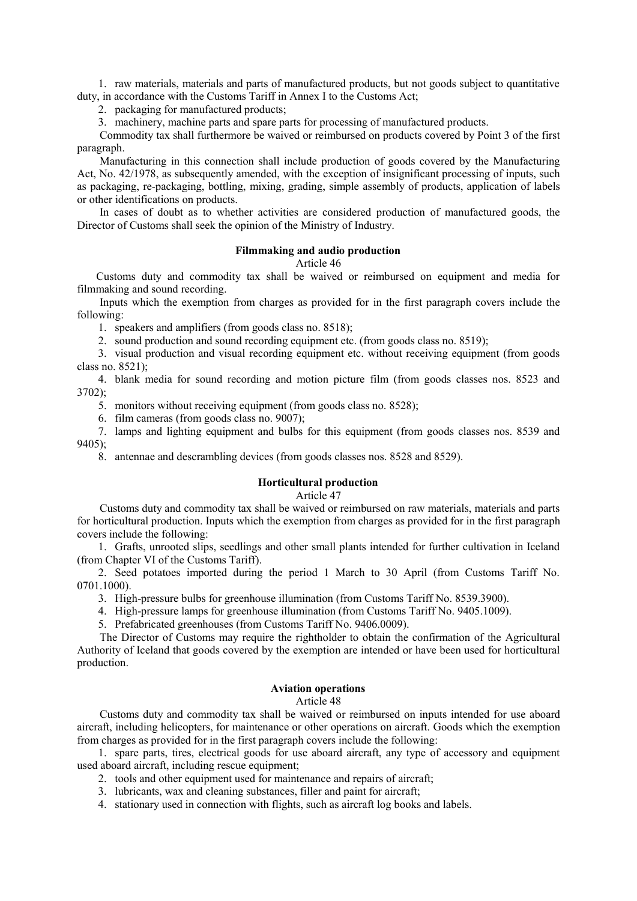1. raw materials, materials and parts of manufactured products, but not goods subject to quantitative duty, in accordance with the Customs Tariff in Annex I to the Customs Act;

2. packaging for manufactured products;

3. machinery, machine parts and spare parts for processing of manufactured products.

Commodity tax shall furthermore be waived or reimbursed on products covered by Point 3 of the first paragraph.

Manufacturing in this connection shall include production of goods covered by the Manufacturing Act, No. 42/1978, as subsequently amended, with the exception of insignificant processing of inputs, such as packaging, re-packaging, bottling, mixing, grading, simple assembly of products, application of labels or other identifications on products.

In cases of doubt as to whether activities are considered production of manufactured goods, the Director of Customs shall seek the opinion of the Ministry of Industry.

## **Filmmaking and audio production**

Article 46

Customs duty and commodity tax shall be waived or reimbursed on equipment and media for filmmaking and sound recording.

Inputs which the exemption from charges as provided for in the first paragraph covers include the following:

1. speakers and amplifiers (from goods class no. 8518);

2. sound production and sound recording equipment etc. (from goods class no. 8519);

3. visual production and visual recording equipment etc. without receiving equipment (from goods class no. 8521);

4. blank media for sound recording and motion picture film (from goods classes nos. 8523 and  $3702$ ;

5. monitors without receiving equipment (from goods class no. 8528);

6. film cameras (from goods class no. 9007);

7. lamps and lighting equipment and bulbs for this equipment (from goods classes nos. 8539 and 9405);

8. antennae and descrambling devices (from goods classes nos. 8528 and 8529).

#### **Horticultural production**

#### Article 47

Customs duty and commodity tax shall be waived or reimbursed on raw materials, materials and parts for horticultural production. Inputs which the exemption from charges as provided for in the first paragraph covers include the following:

1. Grafts, unrooted slips, seedlings and other small plants intended for further cultivation in Iceland (from Chapter VI of the Customs Tariff).

2. Seed potatoes imported during the period 1 March to 30 April (from Customs Tariff No. 0701.1000).

3. High-pressure bulbs for greenhouse illumination (from Customs Tariff No. 8539.3900).

4. High-pressure lamps for greenhouse illumination (from Customs Tariff No. 9405.1009).

5. Prefabricated greenhouses (from Customs Tariff No. 9406.0009).

The Director of Customs may require the rightholder to obtain the confirmation of the Agricultural Authority of Iceland that goods covered by the exemption are intended or have been used for horticultural production.

#### **Aviation operations**

## Article 48

Customs duty and commodity tax shall be waived or reimbursed on inputs intended for use aboard aircraft, including helicopters, for maintenance or other operations on aircraft. Goods which the exemption from charges as provided for in the first paragraph covers include the following:

1. spare parts, tires, electrical goods for use aboard aircraft, any type of accessory and equipment used aboard aircraft, including rescue equipment;

- 2. tools and other equipment used for maintenance and repairs of aircraft;
- 3. lubricants, wax and cleaning substances, filler and paint for aircraft;
- 4. stationary used in connection with flights, such as aircraft log books and labels.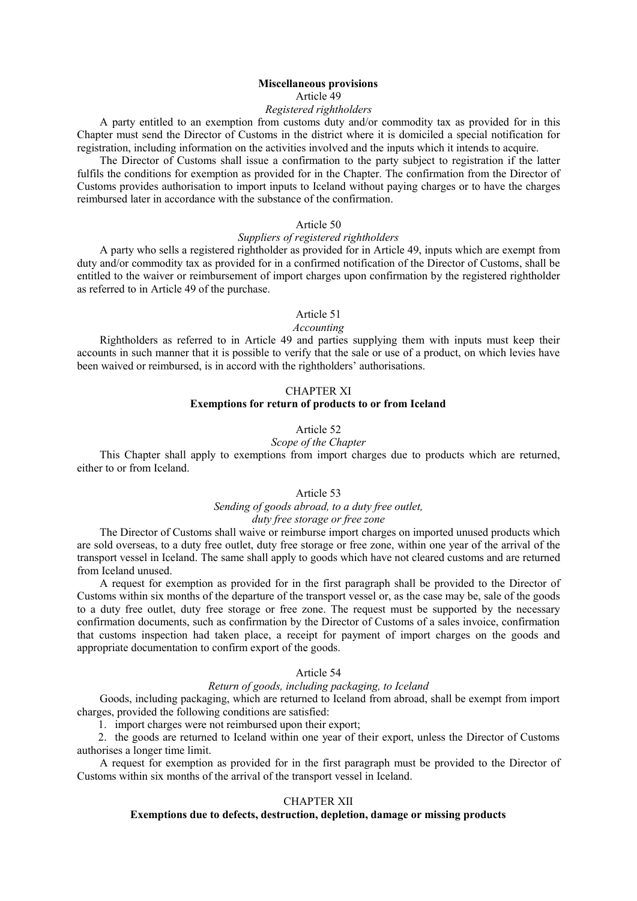#### **Miscellaneous provisions** Article 49

# *Registered rightholders*

A party entitled to an exemption from customs duty and/or commodity tax as provided for in this Chapter must send the Director of Customs in the district where it is domiciled a special notification for registration, including information on the activities involved and the inputs which it intends to acquire.

The Director of Customs shall issue a confirmation to the party subject to registration if the latter fulfils the conditions for exemption as provided for in the Chapter. The confirmation from the Director of Customs provides authorisation to import inputs to Iceland without paying charges or to have the charges reimbursed later in accordance with the substance of the confirmation.

#### Article 50

#### *Suppliers of registered rightholders*

A party who sells a registered rightholder as provided for in Article 49, inputs which are exempt from duty and/or commodity tax as provided for in a confirmed notification of the Director of Customs, shall be entitled to the waiver or reimbursement of import charges upon confirmation by the registered rightholder as referred to in Article 49 of the purchase.

## Article 51

# *Accounting*

Rightholders as referred to in Article 49 and parties supplying them with inputs must keep their accounts in such manner that it is possible to verify that the sale or use of a product, on which levies have been waived or reimbursed, is in accord with the rightholders' authorisations.

# CHAPTER XI

# **Exemptions for return of products to or from Iceland**

# Article 52

# *Scope of the Chapter*

This Chapter shall apply to exemptions from import charges due to products which are returned, either to or from Iceland.

# Article 53

#### *Sending of goods abroad, to a duty free outlet, duty free storage or free zone*

The Director of Customs shall waive or reimburse import charges on imported unused products which are sold overseas, to a duty free outlet, duty free storage or free zone, within one year of the arrival of the transport vessel in Iceland. The same shall apply to goods which have not cleared customs and are returned from Iceland unused.

A request for exemption as provided for in the first paragraph shall be provided to the Director of Customs within six months of the departure of the transport vessel or, as the case may be, sale of the goods to a duty free outlet, duty free storage or free zone. The request must be supported by the necessary confirmation documents, such as confirmation by the Director of Customs of a sales invoice, confirmation that customs inspection had taken place, a receipt for payment of import charges on the goods and appropriate documentation to confirm export of the goods.

## Article 54

## *Return of goods, including packaging, to Iceland*

Goods, including packaging, which are returned to Iceland from abroad, shall be exempt from import charges, provided the following conditions are satisfied:

1. import charges were not reimbursed upon their export;

2. the goods are returned to Iceland within one year of their export, unless the Director of Customs authorises a longer time limit.

A request for exemption as provided for in the first paragraph must be provided to the Director of Customs within six months of the arrival of the transport vessel in Iceland.

# CHAPTER XII

# **Exemptions due to defects, destruction, depletion, damage or missing products**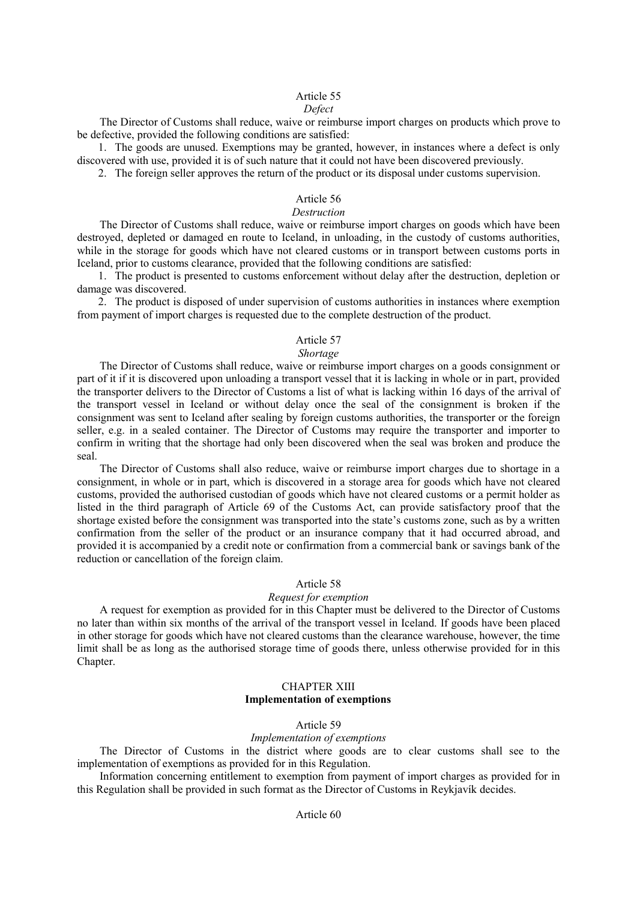# Article 55

#### *Defect*

The Director of Customs shall reduce, waive or reimburse import charges on products which prove to be defective, provided the following conditions are satisfied:

1. The goods are unused. Exemptions may be granted, however, in instances where a defect is only discovered with use, provided it is of such nature that it could not have been discovered previously.

2. The foreign seller approves the return of the product or its disposal under customs supervision.

# Article 56

# *Destruction*

The Director of Customs shall reduce, waive or reimburse import charges on goods which have been destroyed, depleted or damaged en route to Iceland, in unloading, in the custody of customs authorities, while in the storage for goods which have not cleared customs or in transport between customs ports in Iceland, prior to customs clearance, provided that the following conditions are satisfied:

1. The product is presented to customs enforcement without delay after the destruction, depletion or damage was discovered.

2. The product is disposed of under supervision of customs authorities in instances where exemption from payment of import charges is requested due to the complete destruction of the product.

# Article 57

#### *Shortage*

The Director of Customs shall reduce, waive or reimburse import charges on a goods consignment or part of it if it is discovered upon unloading a transport vessel that it is lacking in whole or in part, provided the transporter delivers to the Director of Customs a list of what is lacking within 16 days of the arrival of the transport vessel in Iceland or without delay once the seal of the consignment is broken if the consignment was sent to Iceland after sealing by foreign customs authorities, the transporter or the foreign seller, e.g. in a sealed container. The Director of Customs may require the transporter and importer to confirm in writing that the shortage had only been discovered when the seal was broken and produce the seal.

The Director of Customs shall also reduce, waive or reimburse import charges due to shortage in a consignment, in whole or in part, which is discovered in a storage area for goods which have not cleared customs, provided the authorised custodian of goods which have not cleared customs or a permit holder as listed in the third paragraph of Article 69 of the Customs Act, can provide satisfactory proof that the shortage existed before the consignment was transported into the state's customs zone, such as by a written confirmation from the seller of the product or an insurance company that it had occurred abroad, and provided it is accompanied by a credit note or confirmation from a commercial bank or savings bank of the reduction or cancellation of the foreign claim.

#### Article 58

#### *Request for exemption*

A request for exemption as provided for in this Chapter must be delivered to the Director of Customs no later than within six months of the arrival of the transport vessel in Iceland. If goods have been placed in other storage for goods which have not cleared customs than the clearance warehouse, however, the time limit shall be as long as the authorised storage time of goods there, unless otherwise provided for in this Chapter.

# CHAPTER XIII **Implementation of exemptions**

#### Article 59

#### *Implementation of exemptions*

The Director of Customs in the district where goods are to clear customs shall see to the implementation of exemptions as provided for in this Regulation.

Information concerning entitlement to exemption from payment of import charges as provided for in this Regulation shall be provided in such format as the Director of Customs in Reykjavík decides.